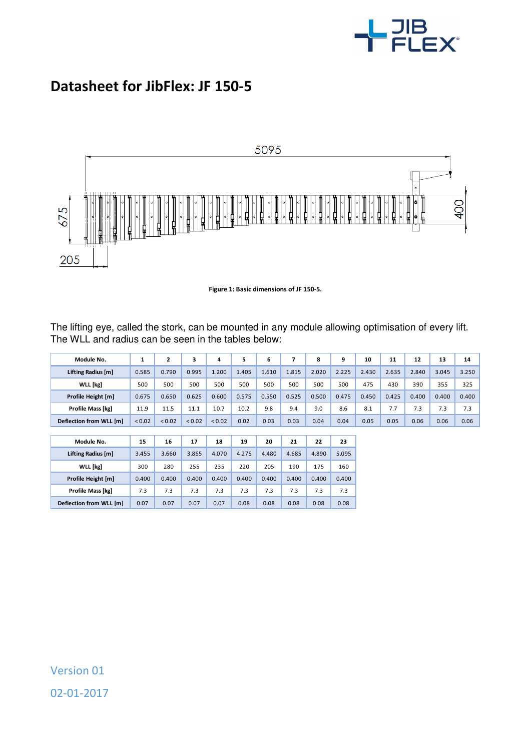

## **Datasheet for JibFlex: JF 150-5**



**Figure 1: Basic dimensions of JF 150-5.** 

The lifting eye, called the stork, can be mounted in any module allowing optimisation of every lift. The WLL and radius can be seen in the tables below:

| Module No.               | 1      | $\mathbf{z}$ | 3      | 4      | 5     | 6     | 7     | 8     | 9     | 10    | 11    | 12    | 13    | 14    |
|--------------------------|--------|--------------|--------|--------|-------|-------|-------|-------|-------|-------|-------|-------|-------|-------|
| Lifting Radius [m]       | 0.585  | 0.790        | 0.995  | 1.200  | 1.405 | 1.610 | 1.815 | 2.020 | 2.225 | 2.430 | 2.635 | 2.840 | 3.045 | 3.250 |
| <b>WLL</b> [kg]          | 500    | 500          | 500    | 500    | 500   | 500   | 500   | 500   | 500   | 475   | 430   | 390   | 355   | 325   |
| Profile Height [m]       | 0.675  | 0.650        | 0.625  | 0.600  | 0.575 | 0.550 | 0.525 | 0.500 | 0.475 | 0.450 | 0.425 | 0.400 | 0.400 | 0.400 |
| Profile Mass [kg]        | 11.9   | 11.5         | 11.1   | 10.7   | 10.2  | 9.8   | 9.4   | 9.0   | 8.6   | 8.1   | 7.7   | 7.3   | 7.3   | 7.3   |
| Deflection from WLL [m]  | < 0.02 | < 0.02       | < 0.02 | < 0.02 | 0.02  | 0.03  | 0.03  | 0.04  | 0.04  | 0.05  | 0.05  | 0.06  | 0.06  | 0.06  |
|                          |        |              |        |        |       |       |       |       |       |       |       |       |       |       |
| Module No.               | 15     | 16           | 17     | 18     | 19    | 20    | 21    | 22    | 23    |       |       |       |       |       |
| Lifting Radius [m]       | 3.455  | 3.660        | 3.865  | 4.070  | 4.275 | 4.480 | 4.685 | 4.890 | 5.095 |       |       |       |       |       |
| <b>WLL</b> [kg]          | 300    | 280          | 255    | 235    | 220   | 205   | 190   | 175   | 160   |       |       |       |       |       |
| Profile Height [m]       | 0.400  | 0.400        | 0.400  | 0.400  | 0.400 | 0.400 | 0.400 | 0.400 | 0.400 |       |       |       |       |       |
| <b>Profile Mass [kg]</b> | 7.3    | 7.3          | 7.3    | 7.3    | 7.3   | 7.3   | 7.3   | 7.3   | 7.3   |       |       |       |       |       |

**Deflection from WLL [m]** 0.07 0.07 0.07 0.07 0.08 0.08 0.08 0.08 0.08